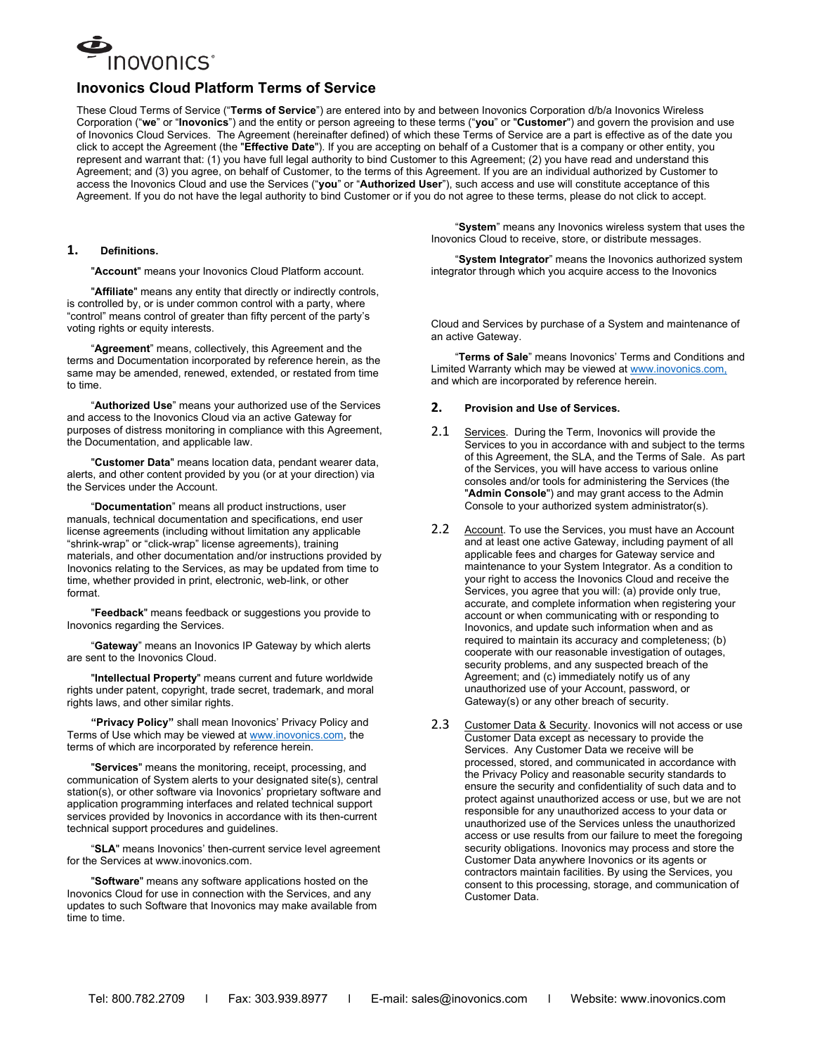

# **Inovonics Cloud Platform Terms of Service**

These Cloud Terms of Service ("**Terms of Service**") are entered into by and between Inovonics Corporation d/b/a Inovonics Wireless Corporation ("**we**" or "**Inovonics**") and the entity or person agreeing to these terms ("**you**" or "**Customer**") and govern the provision and use of Inovonics Cloud Services. The Agreement (hereinafter defined) of which these Terms of Service are a part is effective as of the date you click to accept the Agreement (the "**Effective Date**"). If you are accepting on behalf of a Customer that is a company or other entity, you represent and warrant that: (1) you have full legal authority to bind Customer to this Agreement; (2) you have read and understand this Agreement; and (3) you agree, on behalf of Customer, to the terms of this Agreement. If you are an individual authorized by Customer to access the Inovonics Cloud and use the Services ("**you**" or "**Authorized User**"), such access and use will constitute acceptance of this Agreement. If you do not have the legal authority to bind Customer or if you do not agree to these terms, please do not click to accept.

#### **1. Definitions.**

"**Account**" means your Inovonics Cloud Platform account.

"**Affiliate**" means any entity that directly or indirectly controls, is controlled by, or is under common control with a party, where "control" means control of greater than fifty percent of the party's voting rights or equity interests.

"**Agreement**" means, collectively, this Agreement and the terms and Documentation incorporated by reference herein, as the same may be amended, renewed, extended, or restated from time to time.

"**Authorized Use**" means your authorized use of the Services and access to the Inovonics Cloud via an active Gateway for purposes of distress monitoring in compliance with this Agreement, the Documentation, and applicable law.

"**Customer Data**" means location data, pendant wearer data, alerts, and other content provided by you (or at your direction) via the Services under the Account.

"**Documentation**" means all product instructions, user manuals, technical documentation and specifications, end user license agreements (including without limitation any applicable "shrink-wrap" or "click-wrap" license agreements), training materials, and other documentation and/or instructions provided by Inovonics relating to the Services, as may be updated from time to time, whether provided in print, electronic, web-link, or other format.

"**Feedback**" means feedback or suggestions you provide to Inovonics regarding the Services.

"**Gateway**" means an Inovonics IP Gateway by which alerts are sent to the Inovonics Cloud.

"**Intellectual Property**" means current and future worldwide rights under patent, copyright, trade secret, trademark, and moral rights laws, and other similar rights.

**"Privacy Policy"** shall mean Inovonics' Privacy Policy and Terms of Use which may be viewed at [www.inovonics.com,](http://www.inovonics.com/) the terms of which are incorporated by reference herein.

"**Services**" means the monitoring, receipt, processing, and communication of System alerts to your designated site(s), central station(s), or other software via Inovonics' proprietary software and application programming interfaces and related technical support services provided by Inovonics in accordance with its then-current technical support procedures and guidelines.

"**SLA**" means Inovonics' then-current service level agreement for the Services at www.inovonics.com.

"**Software**" means any software applications hosted on the Inovonics Cloud for use in connection with the Services, and any updates to such Software that Inovonics may make available from time to time.

"**System**" means any Inovonics wireless system that uses the Inovonics Cloud to receive, store, or distribute messages.

"**System Integrator**" means the Inovonics authorized system integrator through which you acquire access to the Inovonics

Cloud and Services by purchase of a System and maintenance of an active Gateway.

"**Terms of Sale**" means Inovonics' Terms and Conditions and Limited Warranty which may be viewed at www.inovonics.com, and which are incorporated by reference herein.

#### **2. Provision and Use of Services.**

- 2.1 Services. During the Term, Inovonics will provide the Services to you in accordance with and subject to the terms of this Agreement, the SLA, and the Terms of Sale. As part of the Services, you will have access to various online consoles and/or tools for administering the Services (the "**Admin Console**") and may grant access to the Admin Console to your authorized system administrator(s).
- 2.2 Account. To use the Services, you must have an Account and at least one active Gateway, including payment of all applicable fees and charges for Gateway service and maintenance to your System Integrator. As a condition to your right to access the Inovonics Cloud and receive the Services, you agree that you will: (a) provide only true, accurate, and complete information when registering your account or when communicating with or responding to Inovonics, and update such information when and as required to maintain its accuracy and completeness; (b) cooperate with our reasonable investigation of outages, security problems, and any suspected breach of the Agreement; and (c) immediately notify us of any unauthorized use of your Account, password, or Gateway(s) or any other breach of security.
- 2.3 Customer Data & Security. Inovonics will not access or use Customer Data except as necessary to provide the Services. Any Customer Data we receive will be processed, stored, and communicated in accordance with the Privacy Policy and reasonable security standards to ensure the security and confidentiality of such data and to protect against unauthorized access or use, but we are not responsible for any unauthorized access to your data or unauthorized use of the Services unless the unauthorized access or use results from our failure to meet the foregoing security obligations. Inovonics may process and store the Customer Data anywhere Inovonics or its agents or contractors maintain facilities. By using the Services, you consent to this processing, storage, and communication of Customer Data.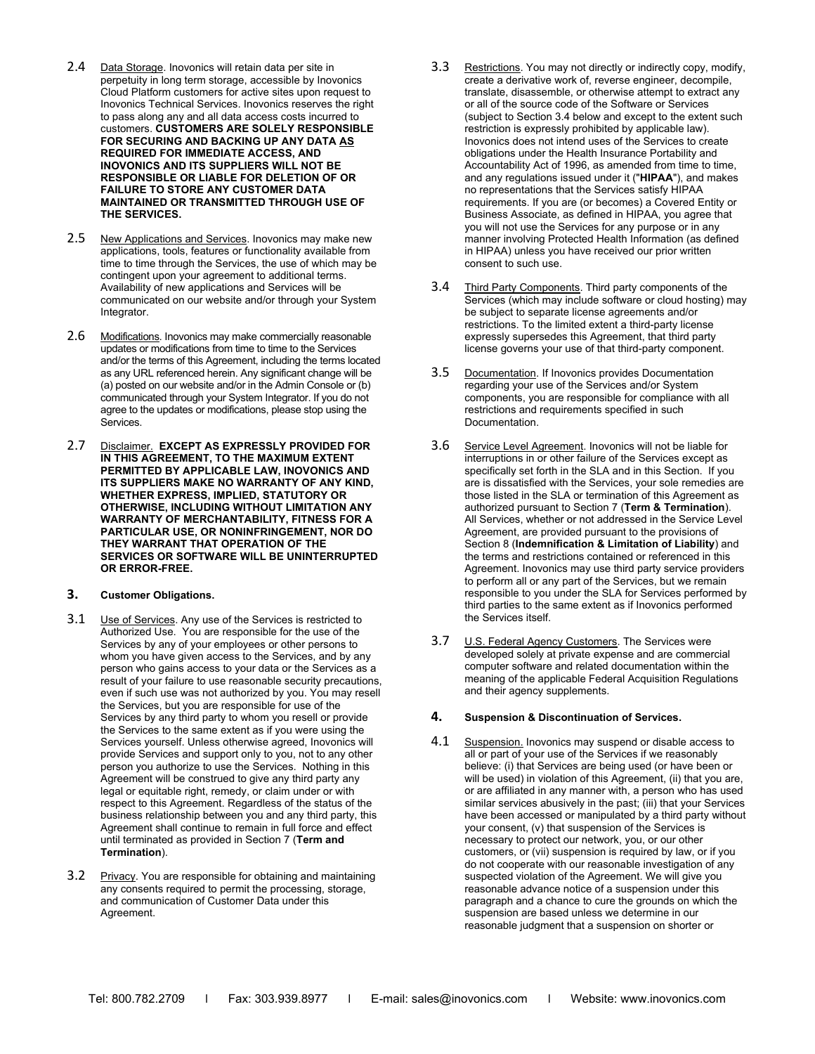- 2.4 Data Storage. Inovonics will retain data per site in perpetuity in long term storage, accessible by Inovonics Cloud Platform customers for active sites upon request to Inovonics Technical Services. Inovonics reserves the right to pass along any and all data access costs incurred to customers. **CUSTOMERS ARE SOLELY RESPONSIBLE FOR SECURING AND BACKING UP ANY DATA AS REQUIRED FOR IMMEDIATE ACCESS, AND INOVONICS AND ITS SUPPLIERS WILL NOT BE RESPONSIBLE OR LIABLE FOR DELETION OF OR FAILURE TO STORE ANY CUSTOMER DATA MAINTAINED OR TRANSMITTED THROUGH USE OF THE SERVICES.**
- 2.5 New Applications and Services. Inovonics may make new applications, tools, features or functionality available from time to time through the Services, the use of which may be contingent upon your agreement to additional terms. Availability of new applications and Services will be communicated on our website and/or through your System Integrator.
- 2.6 Modifications. Inovonics may make commercially reasonable updates or modifications from time to time to the Services and/or the terms of this Agreement, including the terms located as any URL referenced herein. Any significant change will be (a) posted on our website and/or in the Admin Console or (b) communicated through your System Integrator. If you do not agree to the updates or modifications, please stop using the Services.
- 2.7 Disclaimer. **EXCEPT AS EXPRESSLY PROVIDED FOR IN THIS AGREEMENT, TO THE MAXIMUM EXTENT PERMITTED BY APPLICABLE LAW, INOVONICS AND ITS SUPPLIERS MAKE NO WARRANTY OF ANY KIND, WHETHER EXPRESS, IMPLIED, STATUTORY OR OTHERWISE, INCLUDING WITHOUT LIMITATION ANY WARRANTY OF MERCHANTABILITY, FITNESS FOR A PARTICULAR USE, OR NONINFRINGEMENT, NOR DO THEY WARRANT THAT OPERATION OF THE SERVICES OR SOFTWARE WILL BE UNINTERRUPTED OR ERROR-FREE.**
- **3. Customer Obligations.**
- 3.1 Use of Services. Any use of the Services is restricted to Authorized Use. You are responsible for the use of the Services by any of your employees or other persons to whom you have given access to the Services, and by any person who gains access to your data or the Services as a result of your failure to use reasonable security precautions, even if such use was not authorized by you. You may resell the Services, but you are responsible for use of the Services by any third party to whom you resell or provide the Services to the same extent as if you were using the Services yourself. Unless otherwise agreed, Inovonics will provide Services and support only to you, not to any other person you authorize to use the Services. Nothing in this Agreement will be construed to give any third party any legal or equitable right, remedy, or claim under or with respect to this Agreement. Regardless of the status of the business relationship between you and any third party, this Agreement shall continue to remain in full force and effect until terminated as provided in Section 7 (**Term and Termination**).
- 3.2 Privacy. You are responsible for obtaining and maintaining any consents required to permit the processing, storage, and communication of Customer Data under this Agreement.
- 3.3 Restrictions. You may not directly or indirectly copy, modify, create a derivative work of, reverse engineer, decompile, translate, disassemble, or otherwise attempt to extract any or all of the source code of the Software or Services (subject to Section 3.4 below and except to the extent such restriction is expressly prohibited by applicable law). Inovonics does not intend uses of the Services to create obligations under the Health Insurance Portability and Accountability Act of 1996, as amended from time to time, and any regulations issued under it ("**HIPAA**"), and makes no representations that the Services satisfy HIPAA requirements. If you are (or becomes) a Covered Entity or Business Associate, as defined in HIPAA, you agree that you will not use the Services for any purpose or in any manner involving Protected Health Information (as defined in HIPAA) unless you have received our prior written consent to such use.
- 3.4 Third Party Components. Third party components of the Services (which may include software or cloud hosting) may be subject to separate license agreements and/or restrictions. To the limited extent a third-party license expressly supersedes this Agreement, that third party license governs your use of that third-party component.
- 3.5 Documentation. If Inovonics provides Documentation regarding your use of the Services and/or System components, you are responsible for compliance with all restrictions and requirements specified in such Documentation.
- 3.6 Service Level Agreement. Inovonics will not be liable for interruptions in or other failure of the Services except as specifically set forth in the SLA and in this Section. If you are is dissatisfied with the Services, your sole remedies are those listed in the SLA or termination of this Agreement as authorized pursuant to Section 7 (**Term & Termination**). All Services, whether or not addressed in the Service Level Agreement, are provided pursuant to the provisions of Section 8 (**Indemnification & Limitation of Liability**) and the terms and restrictions contained or referenced in this Agreement. Inovonics may use third party service providers to perform all or any part of the Services, but we remain responsible to you under the SLA for Services performed by third parties to the same extent as if Inovonics performed the Services itself.
- 3.7 U.S. Federal Agency Customers. The Services were developed solely at private expense and are commercial computer software and related documentation within the meaning of the applicable Federal Acquisition Regulations and their agency supplements.

# **4. Suspension & Discontinuation of Services.**

4.1 Suspension. Inovonics may suspend or disable access to all or part of your use of the Services if we reasonably believe: (i) that Services are being used (or have been or will be used) in violation of this Agreement, (ii) that you are, or are affiliated in any manner with, a person who has used similar services abusively in the past; (iii) that your Services have been accessed or manipulated by a third party without your consent, (v) that suspension of the Services is necessary to protect our network, you, or our other customers, or (vii) suspension is required by law, or if you do not cooperate with our reasonable investigation of any suspected violation of the Agreement. We will give you reasonable advance notice of a suspension under this paragraph and a chance to cure the grounds on which the suspension are based unless we determine in our reasonable judgment that a suspension on shorter or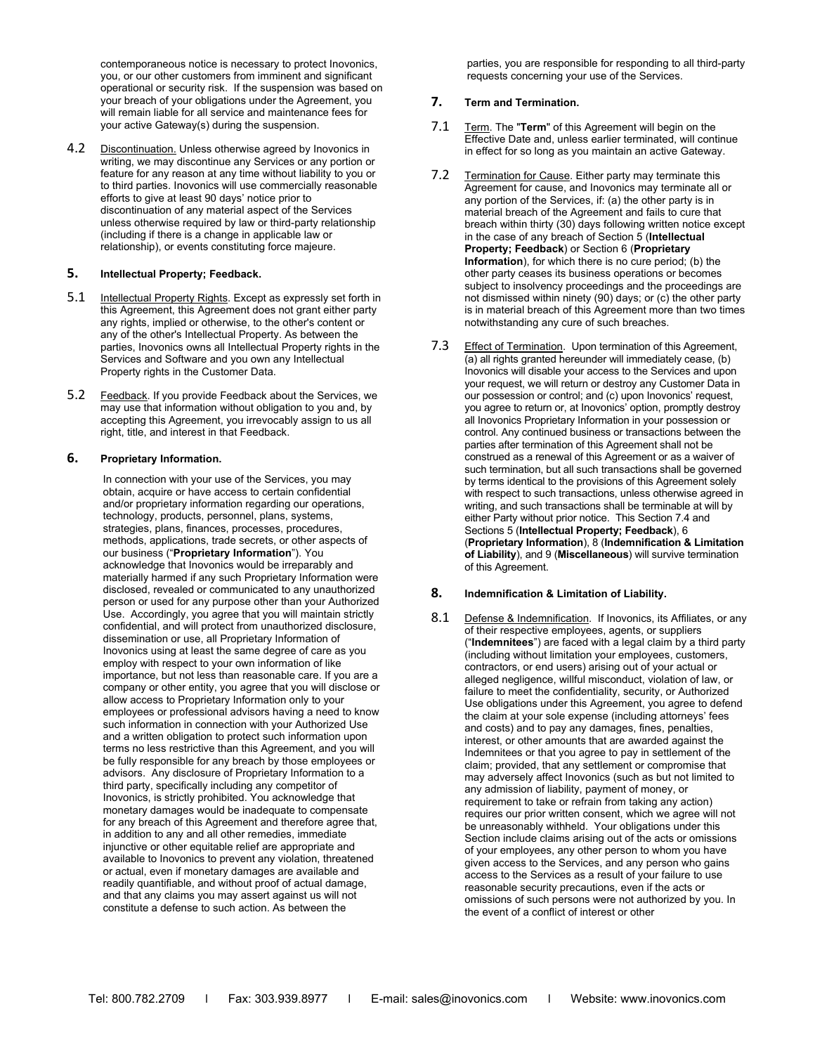contemporaneous notice is necessary to protect Inovonics, you, or our other customers from imminent and significant operational or security risk. If the suspension was based on your breach of your obligations under the Agreement, you will remain liable for all service and maintenance fees for your active Gateway(s) during the suspension.

4.2 Discontinuation. Unless otherwise agreed by Inovonics in writing, we may discontinue any Services or any portion or feature for any reason at any time without liability to you or to third parties. Inovonics will use commercially reasonable efforts to give at least 90 days' notice prior to discontinuation of any material aspect of the Services unless otherwise required by law or third-party relationship (including if there is a change in applicable law or relationship), or events constituting force majeure.

## **5. Intellectual Property; Feedback.**

- 5.1 Intellectual Property Rights. Except as expressly set forth in this Agreement, this Agreement does not grant either party any rights, implied or otherwise, to the other's content or any of the other's Intellectual Property. As between the parties, Inovonics owns all Intellectual Property rights in the Services and Software and you own any Intellectual Property rights in the Customer Data.
- 5.2 Feedback. If you provide Feedback about the Services, we may use that information without obligation to you and, by accepting this Agreement, you irrevocably assign to us all right, title, and interest in that Feedback.

## **6. Proprietary Information.**

In connection with your use of the Services, you may obtain, acquire or have access to certain confidential and/or proprietary information regarding our operations, technology, products, personnel, plans, systems, strategies, plans, finances, processes, procedures, methods, applications, trade secrets, or other aspects of our business ("**Proprietary Information**"). You acknowledge that Inovonics would be irreparably and materially harmed if any such Proprietary Information were disclosed, revealed or communicated to any unauthorized person or used for any purpose other than your Authorized Use. Accordingly, you agree that you will maintain strictly confidential, and will protect from unauthorized disclosure, dissemination or use, all Proprietary Information of Inovonics using at least the same degree of care as you employ with respect to your own information of like importance, but not less than reasonable care. If you are a company or other entity, you agree that you will disclose or allow access to Proprietary Information only to your employees or professional advisors having a need to know such information in connection with your Authorized Use and a written obligation to protect such information upon terms no less restrictive than this Agreement, and you will be fully responsible for any breach by those employees or advisors. Any disclosure of Proprietary Information to a third party, specifically including any competitor of Inovonics, is strictly prohibited. You acknowledge that monetary damages would be inadequate to compensate for any breach of this Agreement and therefore agree that, in addition to any and all other remedies, immediate injunctive or other equitable relief are appropriate and available to Inovonics to prevent any violation, threatened or actual, even if monetary damages are available and readily quantifiable, and without proof of actual damage, and that any claims you may assert against us will not constitute a defense to such action. As between the

parties, you are responsible for responding to all third-party requests concerning your use of the Services.

## **7. Term and Termination.**

- 7.1 Term. The "**Term**" of this Agreement will begin on the Effective Date and, unless earlier terminated, will continue in effect for so long as you maintain an active Gateway.
- 7.2 Termination for Cause. Either party may terminate this Agreement for cause, and Inovonics may terminate all or any portion of the Services, if: (a) the other party is in material breach of the Agreement and fails to cure that breach within thirty (30) days following written notice except in the case of any breach of Section 5 (**Intellectual Property; Feedback**) or Section 6 (**Proprietary Information**), for which there is no cure period; (b) the other party ceases its business operations or becomes subject to insolvency proceedings and the proceedings are not dismissed within ninety (90) days; or (c) the other party is in material breach of this Agreement more than two times notwithstanding any cure of such breaches.
- 7.3 Effect of Termination. Upon termination of this Agreement, (a) all rights granted hereunder will immediately cease, (b) Inovonics will disable your access to the Services and upon your request, we will return or destroy any Customer Data in our possession or control; and (c) upon Inovonics' request, you agree to return or, at Inovonics' option, promptly destroy all Inovonics Proprietary Information in your possession or control. Any continued business or transactions between the parties after termination of this Agreement shall not be construed as a renewal of this Agreement or as a waiver of such termination, but all such transactions shall be governed by terms identical to the provisions of this Agreement solely with respect to such transactions, unless otherwise agreed in writing, and such transactions shall be terminable at will by either Party without prior notice. This Section 7.4 and Sections 5 (**Intellectual Property; Feedback**), 6 (**Proprietary Information**), 8 (**Indemnification & Limitation of Liability**), and 9 (**Miscellaneous**) will survive termination of this Agreement.

#### **8. Indemnification & Limitation of Liability.**

8.1 Defense & Indemnification. If Inovonics, its Affiliates, or any of their respective employees, agents, or suppliers ("**Indemnitees**") are faced with a legal claim by a third party (including without limitation your employees, customers, contractors, or end users) arising out of your actual or alleged negligence, willful misconduct, violation of law, or failure to meet the confidentiality, security, or Authorized Use obligations under this Agreement, you agree to defend the claim at your sole expense (including attorneys' fees and costs) and to pay any damages, fines, penalties, interest, or other amounts that are awarded against the Indemnitees or that you agree to pay in settlement of the claim; provided, that any settlement or compromise that may adversely affect Inovonics (such as but not limited to any admission of liability, payment of money, or requirement to take or refrain from taking any action) requires our prior written consent, which we agree will not be unreasonably withheld. Your obligations under this Section include claims arising out of the acts or omissions of your employees, any other person to whom you have given access to the Services, and any person who gains access to the Services as a result of your failure to use reasonable security precautions, even if the acts or omissions of such persons were not authorized by you. In the event of a conflict of interest or other